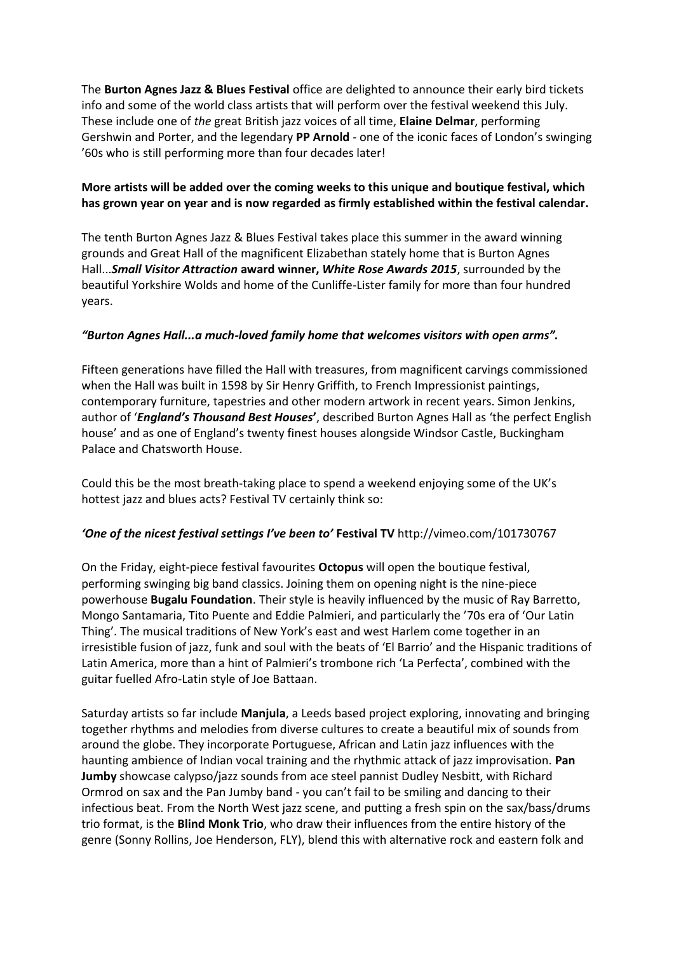The **Burton Agnes Jazz & Blues Festival** office are delighted to announce their early bird tickets info and some of the world class artists that will perform over the festival weekend this July. These include one of *the* great British jazz voices of all time, **Elaine Delmar**, performing Gershwin and Porter, and the legendary **PP Arnold** - one of the iconic faces of London's swinging '60s who is still performing more than four decades later!

## **More artists will be added over the coming weeks to this unique and boutique festival, which has grown year on year and is now regarded as firmly established within the festival calendar.**

The tenth Burton Agnes Jazz & Blues Festival takes place this summer in the award winning grounds and Great Hall of the magnificent Elizabethan stately home that is Burton Agnes Hall...*Small Visitor Attraction* **award winner,** *White Rose Awards 2015*, surrounded by the beautiful Yorkshire Wolds and home of the Cunliffe-Lister family for more than four hundred years.

## *"Burton Agnes Hall...a much-loved family home that welcomes visitors with open arms".*

Fifteen generations have filled the Hall with treasures, from magnificent carvings commissioned when the Hall was built in 1598 by Sir Henry Griffith, to French Impressionist paintings, contemporary furniture, tapestries and other modern artwork in recent years. Simon Jenkins, author of '*England's Thousand Best Houses***'**, described Burton Agnes Hall as 'the perfect English house' and as one of England's twenty finest houses alongside Windsor Castle, Buckingham Palace and Chatsworth House.

Could this be the most breath-taking place to spend a weekend enjoying some of the UK's hottest jazz and blues acts? Festival TV certainly think so:

# *'One of the nicest festival settings I've been to'* **Festival TV** <http://vimeo.com/101730767>

On the Friday, eight-piece festival favourites **Octopus** will open the boutique festival, performing swinging big band classics. Joining them on opening night is the nine-piece powerhouse **Bugalu Foundation**. Their style is heavily influenced by the music of Ray Barretto, Mongo Santamaria, Tito Puente and Eddie Palmieri, and particularly the '70s era of 'Our Latin Thing'. The musical traditions of New York's east and west Harlem come together in an irresistible fusion of jazz, funk and soul with the beats of 'El Barrio' and the Hispanic traditions of Latin America, more than a hint of Palmieri's trombone rich 'La Perfecta', combined with the guitar fuelled Afro-Latin style of Joe Battaan.

Saturday artists so far include **Manjula**, a Leeds based project exploring, innovating and bringing together rhythms and melodies from diverse cultures to create a beautiful mix of sounds from around the globe. They incorporate Portuguese, African and Latin jazz influences with the haunting ambience of Indian vocal training and the rhythmic attack of jazz improvisation. **Pan Jumby** showcase calypso/jazz sounds from ace steel pannist Dudley Nesbitt, with Richard Ormrod on sax and the Pan Jumby band - you can't fail to be smiling and dancing to their infectious beat. From the North West jazz scene, and putting a fresh spin on the sax/bass/drums trio format, is the **Blind Monk Trio**, who draw their influences from the entire history of the genre (Sonny Rollins, Joe Henderson, FLY), blend this with alternative rock and eastern folk and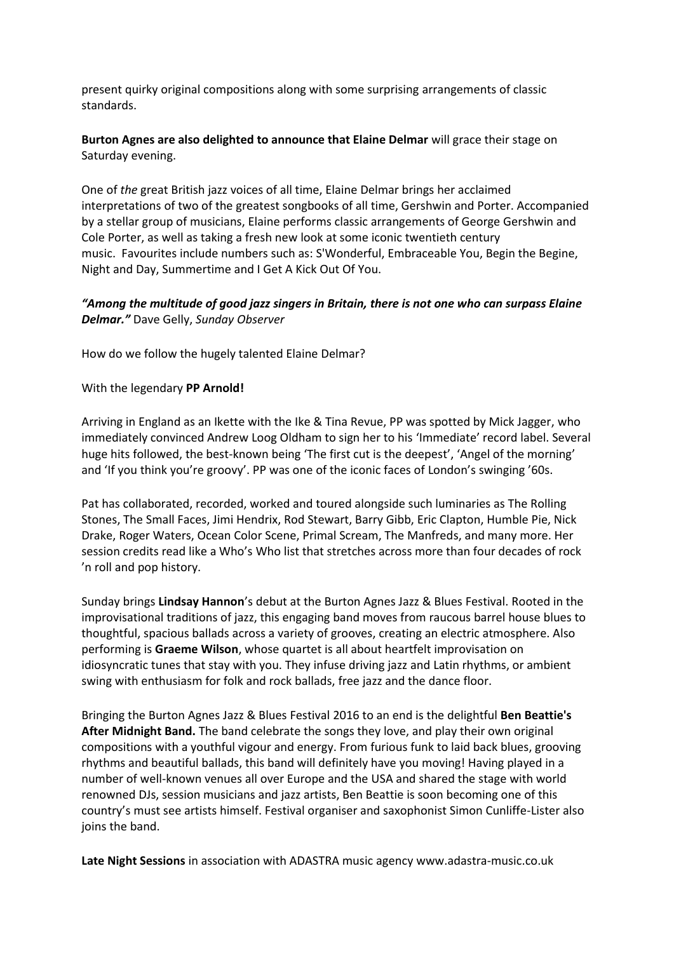present quirky original compositions along with some surprising arrangements of classic standards.

**Burton Agnes are also delighted to announce that Elaine Delmar** will grace their stage on Saturday evening.

One of *the* great British jazz voices of all time, Elaine Delmar brings her acclaimed interpretations of two of the greatest songbooks of all time, Gershwin and Porter. Accompanied by a stellar group of musicians, Elaine performs classic arrangements of George Gershwin and Cole Porter, as well as taking a fresh new look at some iconic twentieth century music. Favourites include numbers such as: S'Wonderful, Embraceable You, Begin the Begine, Night and Day, Summertime and I Get A Kick Out Of You.

### *"Among the multitude of good jazz singers in Britain, there is not one who can surpass Elaine Delmar."* Dave Gelly, *Sunday Observer*

How do we follow the hugely talented Elaine Delmar?

#### With the legendary **PP Arnold!**

Arriving in England as an Ikette with the Ike & Tina Revue, PP was spotted by Mick Jagger, who immediately convinced Andrew Loog Oldham to sign her to his 'Immediate' record label. Several huge hits followed, the best-known being 'The first cut is the deepest', 'Angel of the morning' and 'If you think you're groovy'. PP was one of the iconic faces of London's swinging '60s.

Pat has collaborated, recorded, worked and toured alongside such luminaries as The Rolling Stones, The Small Faces, Jimi Hendrix, Rod Stewart, Barry Gibb, Eric Clapton, Humble Pie, Nick Drake, Roger Waters, Ocean Color Scene, Primal Scream, The Manfreds, and many more. Her session credits read like a Who's Who list that stretches across more than four decades of rock 'n roll and pop history.

Sunday brings **Lindsay Hannon**'s debut at the Burton Agnes Jazz & Blues Festival. Rooted in the improvisational traditions of jazz, this engaging band moves from raucous barrel house blues to thoughtful, spacious ballads across a variety of grooves, creating an electric atmosphere. Also performing is **Graeme Wilson**, whose quartet is all about heartfelt improvisation on idiosyncratic tunes that stay with you. They infuse driving jazz and Latin rhythms, or ambient swing with enthusiasm for folk and rock ballads, free jazz and the dance floor.

Bringing the Burton Agnes Jazz & Blues Festival 2016 to an end is the delightful **Ben Beattie's After Midnight Band.** The band celebrate the songs they love, and play their own original compositions with a youthful vigour and energy. From furious funk to laid back blues, grooving rhythms and beautiful ballads, this band will definitely have you moving! Having played in a number of well-known venues all over Europe and the USA and shared the stage with world renowned DJs, session musicians and jazz artists, Ben Beattie is soon becoming one of this country's must see artists himself. Festival organiser and saxophonist Simon Cunliffe-Lister also joins the band.

**Late Night Sessions** in association with ADASTRA music agenc[y www.adastra-music.co.uk](http://www.adastra-music.co.uk/)